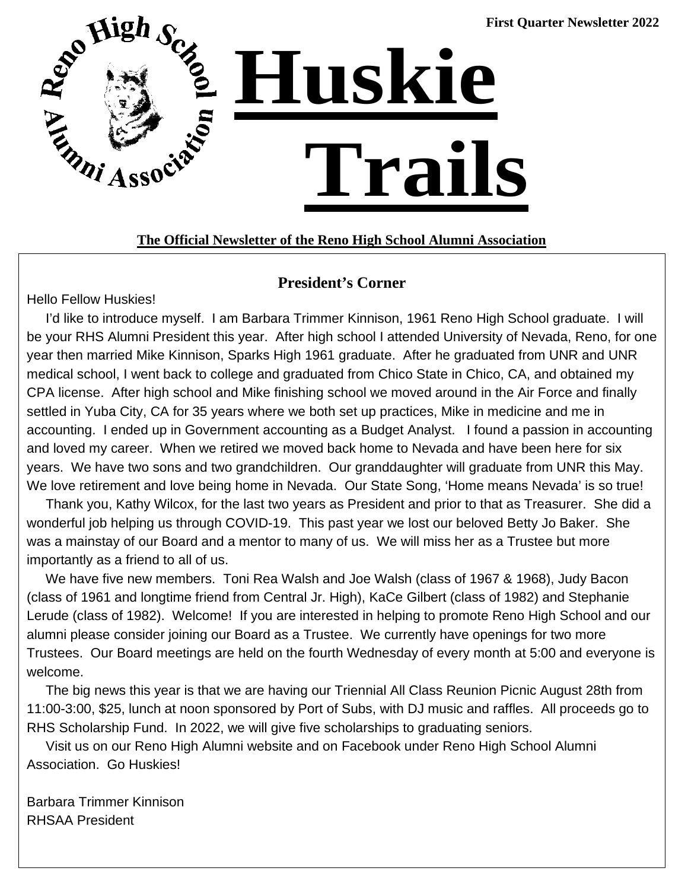

## **The Official Newsletter of the Reno High School Alumni Association**

### **President's Corner**

Hello Fellow Huskies!

 I'd like to introduce myself. I am Barbara Trimmer Kinnison, 1961 Reno High School graduate. I will be your RHS Alumni President this year. After high school I attended University of Nevada, Reno, for one year then married Mike Kinnison, Sparks High 1961 graduate. After he graduated from UNR and UNR medical school, I went back to college and graduated from Chico State in Chico, CA, and obtained my CPA license. After high school and Mike finishing school we moved around in the Air Force and finally settled in Yuba City, CA for 35 years where we both set up practices, Mike in medicine and me in accounting. I ended up in Government accounting as a Budget Analyst. I found a passion in accounting and loved my career. When we retired we moved back home to Nevada and have been here for six years. We have two sons and two grandchildren. Our granddaughter will graduate from UNR this May. We love retirement and love being home in Nevada. Our State Song, 'Home means Nevada' is so true!

 Thank you, Kathy Wilcox, for the last two years as President and prior to that as Treasurer. She did a wonderful job helping us through COVID-19. This past year we lost our beloved Betty Jo Baker. She was a mainstay of our Board and a mentor to many of us. We will miss her as a Trustee but more importantly as a friend to all of us.

 We have five new members. Toni Rea Walsh and Joe Walsh (class of 1967 & 1968), Judy Bacon (class of 1961 and longtime friend from Central Jr. High), KaCe Gilbert (class of 1982) and Stephanie Lerude (class of 1982). Welcome! If you are interested in helping to promote Reno High School and our alumni please consider joining our Board as a Trustee. We currently have openings for two more Trustees. Our Board meetings are held on the fourth Wednesday of every month at 5:00 and everyone is welcome.

 The big news this year is that we are having our Triennial All Class Reunion Picnic August 28th from 11:00-3:00, \$25, lunch at noon sponsored by Port of Subs, with DJ music and raffles. All proceeds go to RHS Scholarship Fund. In 2022, we will give five scholarships to graduating seniors.

 Visit us on our Reno High Alumni website and on Facebook under Reno High School Alumni Association. Go Huskies!

Barbara Trimmer Kinnison RHSAA President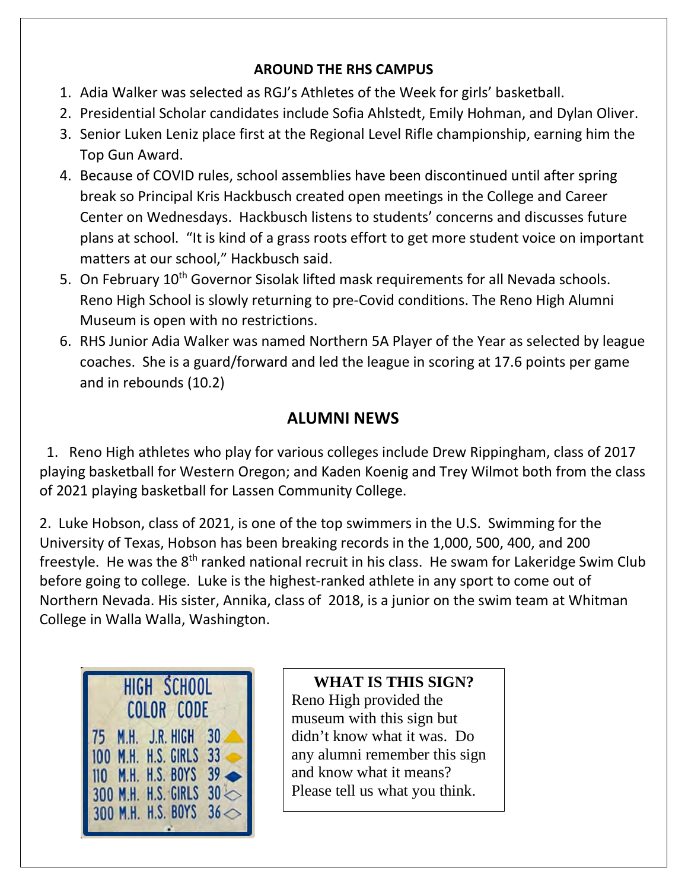## **AROUND THE RHS CAMPUS**

- 1. Adia Walker was selected as RGJ's Athletes of the Week for girls' basketball.
- 2. Presidential Scholar candidates include Sofia Ahlstedt, Emily Hohman, and Dylan Oliver.
- 3. Senior Luken Leniz place first at the Regional Level Rifle championship, earning him the Top Gun Award.
- 4. Because of COVID rules, school assemblies have been discontinued until after spring break so Principal Kris Hackbusch created open meetings in the College and Career Center on Wednesdays. Hackbusch listens to students' concerns and discusses future plans at school. "It is kind of a grass roots effort to get more student voice on important matters at our school," Hackbusch said.
- 5. On February 10<sup>th</sup> Governor Sisolak lifted mask requirements for all Nevada schools. Reno High School is slowly returning to pre-Covid conditions. The Reno High Alumni Museum is open with no restrictions.
- 6. RHS Junior Adia Walker was named Northern 5A Player of the Year as selected by league coaches. She is a guard/forward and led the league in scoring at 17.6 points per game and in rebounds (10.2)

## **ALUMNI NEWS**

 1. Reno High athletes who play for various colleges include Drew Rippingham, class of 2017 playing basketball for Western Oregon; and Kaden Koenig and Trey Wilmot both from the class of 2021 playing basketball for Lassen Community College.

2. Luke Hobson, class of 2021, is one of the top swimmers in the U.S. Swimming for the University of Texas, Hobson has been breaking records in the 1,000, 500, 400, and 200 freestyle. He was the 8<sup>th</sup> ranked national recruit in his class. He swam for Lakeridge Swim Club before going to college. Luke is the highest-ranked athlete in any sport to come out of Northern Nevada. His sister, Annika, class of 2018, is a junior on the swim team at Whitman College in Walla Walla, Washington.



**HIGH SCHOOL WHAT IS THIS SIGN?** Reno High provided the museum with this sign but didn't know what it was. Do any alumni remember this sign and know what it means? Please tell us what you think.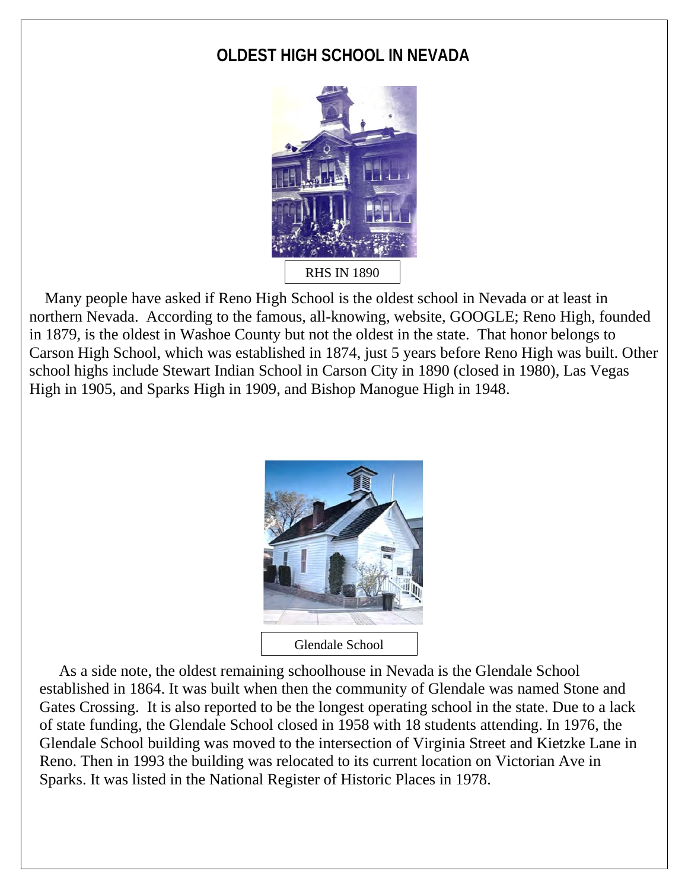## **OLDEST HIGH SCHOOL IN NEVADA**



 Many people have asked if Reno High School is the oldest school in Nevada or at least in northern Nevada. According to the famous, all-knowing, website, GOOGLE; Reno High, founded in 1879, is the oldest in Washoe County but not the oldest in the state. That honor belongs to Carson High School, which was established in 1874, just 5 years before Reno High was built. Other school highs include Stewart Indian School in Carson City in 1890 (closed in 1980), Las Vegas High in 1905, and Sparks High in 1909, and Bishop Manogue High in 1948.



 As a side note, the oldest remaining schoolhouse in Nevada is the Glendale School established in 1864. It was built when then the community of Glendale was named Stone and Gates Crossing. It is also reported to be the longest operating school in the state. Due to a lack of state funding, the Glendale School closed in 1958 with 18 students attending. In 1976, the Glendale School building was moved to the intersection of Virginia Street and Kietzke Lane in Reno. Then in 1993 the building was relocated to its current location on Victorian Ave in Sparks. It was listed in the National Register of Historic Places in 1978.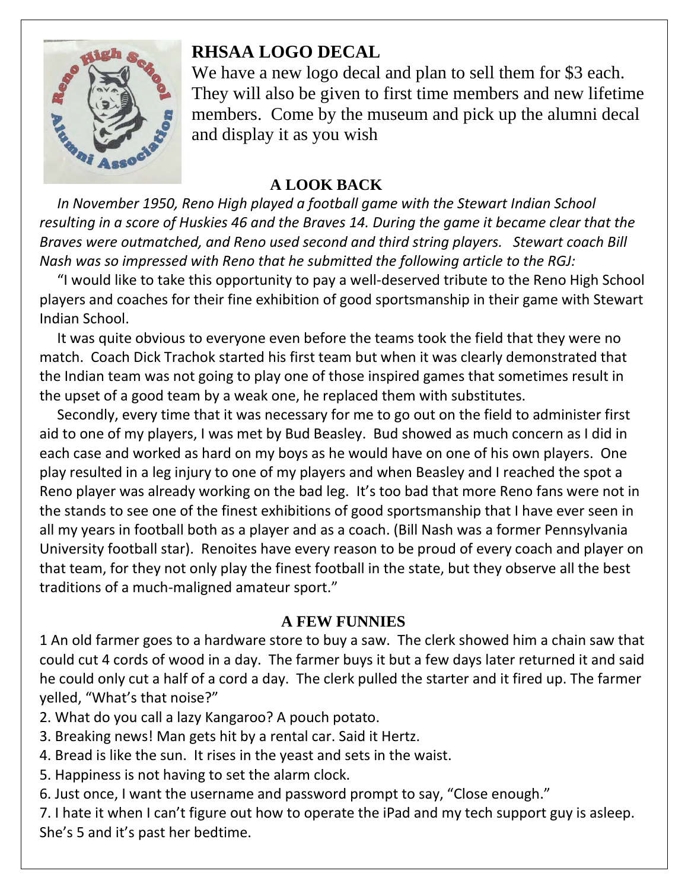

## **RHSAA LOGO DECAL**

We have a new logo decal and plan to sell them for \$3 each. They will also be given to first time members and new lifetime members. Come by the museum and pick up the alumni decal and display it as you wish

## **A LOOK BACK**

 *In November 1950, Reno High played a football game with the Stewart Indian School resulting in a score of Huskies 46 and the Braves 14. During the game it became clear that the Braves were outmatched, and Reno used second and third string players. Stewart coach Bill Nash was so impressed with Reno that he submitted the following article to the RGJ:*

 "I would like to take this opportunity to pay a well-deserved tribute to the Reno High School players and coaches for their fine exhibition of good sportsmanship in their game with Stewart Indian School.

 It was quite obvious to everyone even before the teams took the field that they were no match. Coach Dick Trachok started his first team but when it was clearly demonstrated that the Indian team was not going to play one of those inspired games that sometimes result in the upset of a good team by a weak one, he replaced them with substitutes.

 Secondly, every time that it was necessary for me to go out on the field to administer first aid to one of my players, I was met by Bud Beasley. Bud showed as much concern as I did in each case and worked as hard on my boys as he would have on one of his own players. One play resulted in a leg injury to one of my players and when Beasley and I reached the spot a Reno player was already working on the bad leg. It's too bad that more Reno fans were not in the stands to see one of the finest exhibitions of good sportsmanship that I have ever seen in all my years in football both as a player and as a coach. (Bill Nash was a former Pennsylvania University football star). Renoites have every reason to be proud of every coach and player on that team, for they not only play the finest football in the state, but they observe all the best traditions of a much-maligned amateur sport."

## **A FEW FUNNIES**

1 An old farmer goes to a hardware store to buy a saw. The clerk showed him a chain saw that could cut 4 cords of wood in a day. The farmer buys it but a few days later returned it and said he could only cut a half of a cord a day. The clerk pulled the starter and it fired up. The farmer yelled, "What's that noise?"

- 2. What do you call a lazy Kangaroo? A pouch potato.
- 3. Breaking news! Man gets hit by a rental car. Said it Hertz.
- 4. Bread is like the sun. It rises in the yeast and sets in the waist.
- 5. Happiness is not having to set the alarm clock.
- 6. Just once, I want the username and password prompt to say, "Close enough."
- 7. I hate it when I can't figure out how to operate the iPad and my tech support guy is asleep. She's 5 and it's past her bedtime.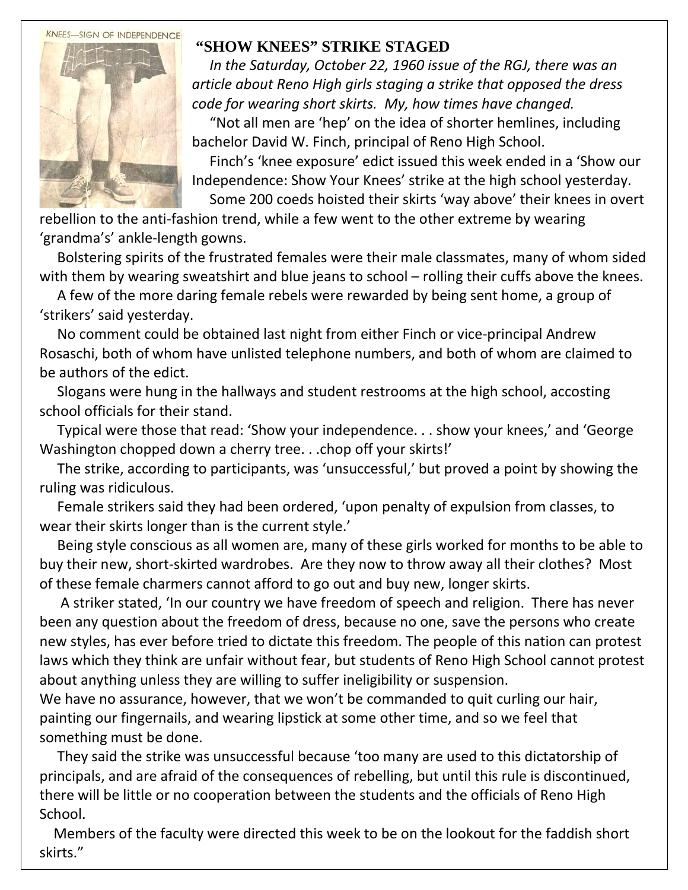#### **KNEES-SIGN OF INDEPENDENCE**



## **"SHOW KNEES" STRIKE STAGED**

 *In the Saturday, October 22, 1960 issue of the RGJ, there was an article about Reno High girls staging a strike that opposed the dress code for wearing short skirts. My, how times have changed.*

 "Not all men are 'hep' on the idea of shorter hemlines, including bachelor David W. Finch, principal of Reno High School.

 Finch's 'knee exposure' edict issued this week ended in a 'Show our Independence: Show Your Knees' strike at the high school yesterday. Some 200 coeds hoisted their skirts 'way above' their knees in overt

rebellion to the anti-fashion trend, while a few went to the other extreme by wearing 'grandma's' ankle-length gowns.

 Bolstering spirits of the frustrated females were their male classmates, many of whom sided with them by wearing sweatshirt and blue jeans to school – rolling their cuffs above the knees.

 A few of the more daring female rebels were rewarded by being sent home, a group of 'strikers' said yesterday.

 No comment could be obtained last night from either Finch or vice-principal Andrew Rosaschi, both of whom have unlisted telephone numbers, and both of whom are claimed to be authors of the edict.

 Slogans were hung in the hallways and student restrooms at the high school, accosting school officials for their stand.

 Typical were those that read: 'Show your independence. . . show your knees,' and 'George Washington chopped down a cherry tree...chop off your skirts!'

 The strike, according to participants, was 'unsuccessful,' but proved a point by showing the ruling was ridiculous.

 Female strikers said they had been ordered, 'upon penalty of expulsion from classes, to wear their skirts longer than is the current style.'

 Being style conscious as all women are, many of these girls worked for months to be able to buy their new, short-skirted wardrobes. Are they now to throw away all their clothes? Most of these female charmers cannot afford to go out and buy new, longer skirts.

 A striker stated, 'In our country we have freedom of speech and religion. There has never been any question about the freedom of dress, because no one, save the persons who create new styles, has ever before tried to dictate this freedom. The people of this nation can protest laws which they think are unfair without fear, but students of Reno High School cannot protest about anything unless they are willing to suffer ineligibility or suspension.

We have no assurance, however, that we won't be commanded to quit curling our hair, painting our fingernails, and wearing lipstick at some other time, and so we feel that something must be done.

 They said the strike was unsuccessful because 'too many are used to this dictatorship of principals, and are afraid of the consequences of rebelling, but until this rule is discontinued, there will be little or no cooperation between the students and the officials of Reno High School.

 Members of the faculty were directed this week to be on the lookout for the faddish short skirts."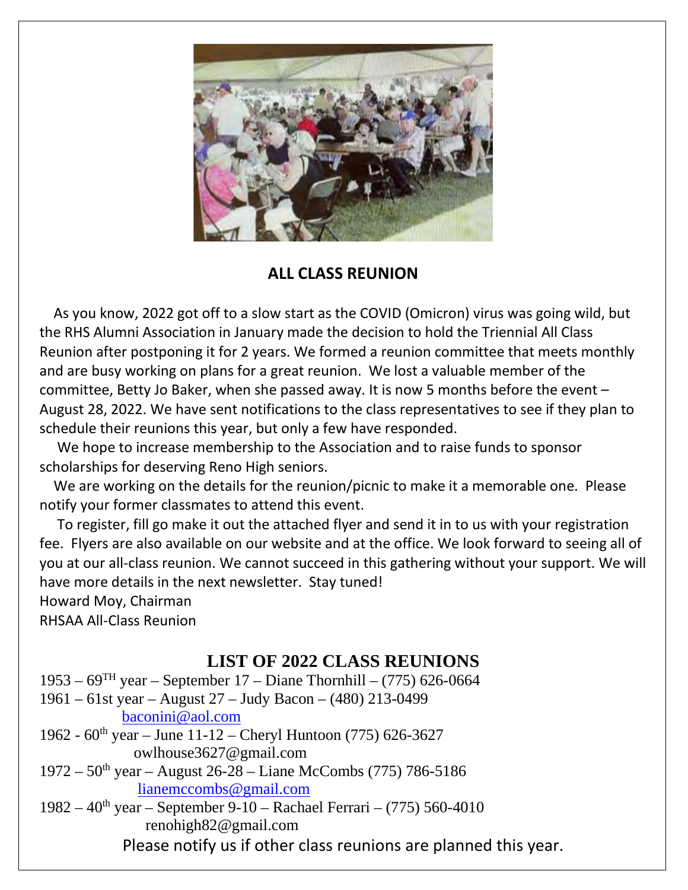

## **ALL CLASS REUNION**

 As you know, 2022 got off to a slow start as the COVID (Omicron) virus was going wild, but the RHS Alumni Association in January made the decision to hold the Triennial All Class Reunion after postponing it for 2 years. We formed a reunion committee that meets monthly and are busy working on plans for a great reunion. We lost a valuable member of the committee, Betty Jo Baker, when she passed away. It is now 5 months before the event – August 28, 2022. We have sent notifications to the class representatives to see if they plan to schedule their reunions this year, but only a few have responded.

 We hope to increase membership to the Association and to raise funds to sponsor scholarships for deserving Reno High seniors.

 We are working on the details for the reunion/picnic to make it a memorable one. Please notify your former classmates to attend this event.

 To register, fill go make it out the attached flyer and send it in to us with your registration fee. Flyers are also available on our website and at the office. We look forward to seeing all of you at our all-class reunion. We cannot succeed in this gathering without your support. We will have more details in the next newsletter. Stay tuned!

Howard Moy, Chairman RHSAA All-Class Reunion

 $\overline{a}$ 

## **LIST OF 2022 CLASS REUNIONS**

 $1953 - 69$ <sup>TH</sup> year – September 17 – Diane Thornhill – (775) 626-0664 1961 – 61st year – August 27 – Judy Bacon – (480) 213-0499 [baconini@aol.com](mailto:baconini@aol.com) 1962 -  $60^{\text{th}}$  year – June 11-12 – Cheryl Huntoon (775) 626-3627 owlhouse3627@gmail.com  $1972 - 50$ <sup>th</sup> year – August 26-28 – Liane McCombs (775) 786-5186 [lianemccombs@gmail.com](mailto:lianemccombs@gmail.com)

1982 –  $40^{th}$  year – September 9-10 – Rachael Ferrari – (775) 560-4010 renohigh82@gmail.com

Please notify us if other class reunions are planned this year.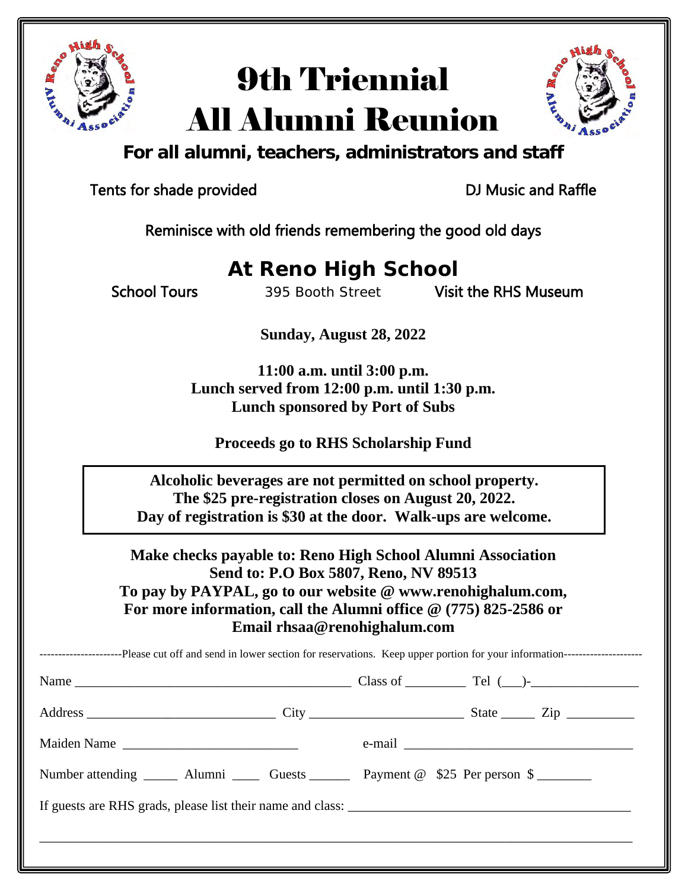

# 9th Triennial All Alumni Reunion



**For all alumni, teachers, administrators and staff**

Tents for shade provided Tents of DJ Music and Raffle

Reminisce with old friends remembering the good old days

## **At Reno High School**

School Tours 395 Booth Street Visit the RHS Museum

**Sunday, August 28, 2022**

**11:00 a.m. until 3:00 p.m. Lunch served from 12:00 p.m. until 1:30 p.m. Lunch sponsored by Port of Subs**

**Proceeds go to RHS Scholarship Fund** 

 **Alcoholic beverages are not permitted on school property. The \$25 pre-registration closes on August 20, 2022. Day of registration is \$30 at the door. Walk-ups are welcome.**

**Make checks payable to: Reno High School Alumni Association Send to: P.O Box 5807, Reno, NV 89513 To pay by PAYPAL, go to our website @ www.renohighalum.com, For more information, call the Alumni office @ (775) 825-2586 or Email rhsaa@renohighalum.com**

| Maiden Name                                                                               |  |
|-------------------------------------------------------------------------------------------|--|
| Number attending ________ Alumni ________ Guests ___________ Payment @ \$25 Per person \$ |  |
|                                                                                           |  |
|                                                                                           |  |